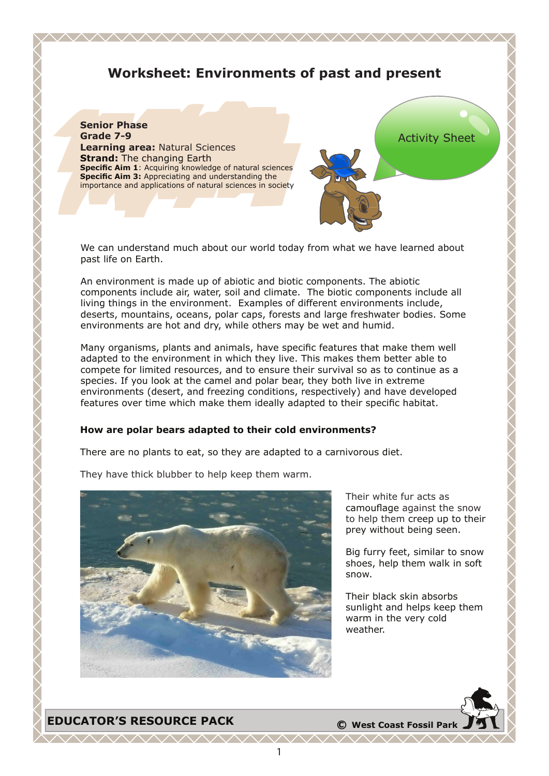# **Worksheet: Environments of past and present**

<u> WWW.WWW.WWW.WWW.WWW</u>



We can understand much about our world today from what we have learned about past life on Earth.

An environment is made up of abiotic and biotic components. The abiotic components include air, water, soil and climate. The biotic components include all living things in the environment. Examples of different environments include, deserts, mountains, oceans, polar caps, forests and large freshwater bodies. Some environments are hot and dry, while others may be wet and humid.

Many organisms, plants and animals, have specific features that make them well adapted to the environment in which they live. This makes them better able to compete for limited resources, and to ensure their survival so as to continue as a species. If you look at the camel and polar bear, they both live in extreme environments (desert, and freezing conditions, respectively) and have developed features over time which make them ideally adapted to their specific habitat.

#### **How are polar bears adapted to their cold environments?**

There are no plants to eat, so they are adapted to a carnivorous diet.



They have thick blubber to help keep them warm.

Their white fur acts as camouflage against the snow to help them creep up to their prey without being seen.

Big furry feet, similar to snow shoes, help them walk in soft snow.

Their black skin absorbs sunlight and helps keep them warm in the very cold weather.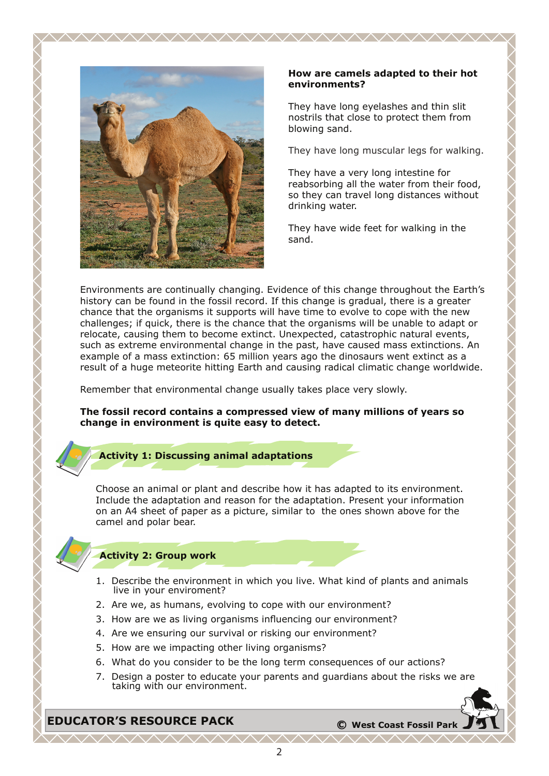

#### **How are camels adapted to their hot environments?**

They have long eyelashes and thin slit nostrils that close to protect them from blowing sand.

They have long muscular legs for walking.

They have a very long intestine for reabsorbing all the water from their food, so they can travel long distances without drinking water.

They have wide feet for walking in the sand.

Environments are continually changing. Evidence of this change throughout the Earth's history can be found in the fossil record. If this change is gradual, there is a greater chance that the organisms it supports will have time to evolve to cope with the new challenges; if quick, there is the chance that the organisms will be unable to adapt or relocate, causing them to become extinct. Unexpected, catastrophic natural events, such as extreme environmental change in the past, have caused mass extinctions. An example of a mass extinction: 65 million years ago the dinosaurs went extinct as a result of a huge meteorite hitting Earth and causing radical climatic change worldwide.

<u> WWW.WWW.WWW.WWW.WWW</u>

Remember that environmental change usually takes place very slowly.

### **The fossil record contains a compressed view of many millions of years so change in environment is quite easy to detect.**

### **Activity 1: Discussing animal adaptations**

Choose an animal or plant and describe how it has adapted to its environment. Include the adaptation and reason for the adaptation. Present your information on an A4 sheet of paper as a picture, similar to the ones shown above for the camel and polar bear.

### **Activity 2: Group work**

- 1. Describe the environment in which you live. What kind of plants and animals live in your enviroment?
- 2. Are we, as humans, evolving to cope with our environment?
- 3. How are we as living organisms influencing our environment?
- 4. Are we ensuring our survival or risking our environment?
- 5. How are we impacting other living organisms?
- 6. What do you consider to be the long term consequences of our actions?
- 7. Design a poster to educate your parents and guardians about the risks we are taking with our environment.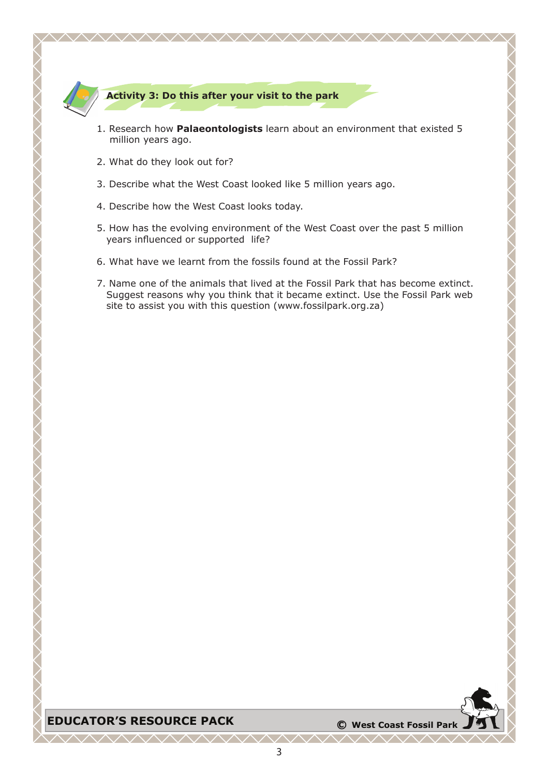

### **Activity 3: Do this after your visit to the park**

1. Research how **Palaeontologists** learn about an environment that existed 5 million years ago.

<u> WWW.WWW.WWW.WWW.WW</u>

- 2. What do they look out for?
- 3. Describe what the West Coast looked like 5 million years ago.
- 4. Describe how the West Coast looks today.
- 5. How has the evolving environment of the West Coast over the past 5 million years influenced or supported life?
- 6. What have we learnt from the fossils found at the Fossil Park?
- 7. Name one of the animals that lived at the Fossil Park that has become extinct. Suggest reasons why you think that it became extinct. Use the Fossil Park web site to assist you with this question (www.fossilpark.org.za)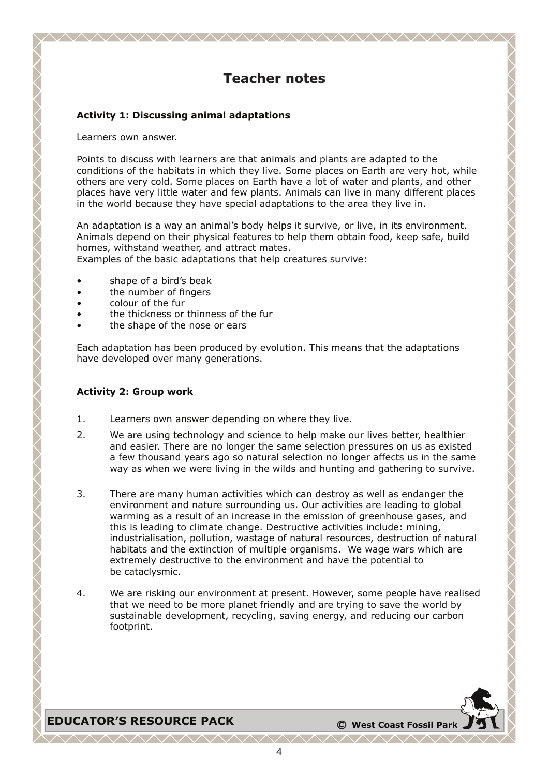## **Teacher notes**

<u>WWW.WWW.WWW.WWW.WWW</u>

### **Activity 1: Discussing animal adaptations**

Learners own answer.

Points to discuss with learners are that animals and plants are adapted to the conditions of the habitats in which they live. Some places on Earth are very hot, while others are very cold. Some places on Earth have a lot of water and plants, and other places have very little water and few plants. Animals can live in many different places in the world because they have special adaptations to the area they live in.

An adaptation is a way an animal's body helps it survive, or live, in its environment. Animals depend on their physical features to help them obtain food, keep safe, build homes, withstand weather, and attract mates.

Examples of the basic adaptations that help creatures survive:

- shape of a bird's beak
- the number of fingers
- colour of the fur
- the thickness or thinness of the fur
- the shape of the nose or ears

Each adaptation has been produced by evolution. This means that the adaptations have developed over many generations.

### **Activity 2: Group work**

- 1. Learners own answer depending on where they live.
- 2. We are using technology and science to help make our lives better, healthier and easier. There are no longer the same selection pressures on us as existed a few thousand years ago so natural selection no longer affects us in the same way as when we were living in the wilds and hunting and gathering to survive.
- 3. There are many human activities which can destroy as well as endanger the environment and nature surrounding us. Our activities are leading to global warming as a result of an increase in the emission of greenhouse gases, and this is leading to climate change. Destructive activities include: mining, industrialisation, pollution, wastage of natural resources, destruction of natural habitats and the extinction of multiple organisms. We wage wars which are extremely destructive to the environment and have the potential to be cataclysmic.
- 4. We are risking our environment at present. However, some people have realised that we need to be more planet friendly and are trying to save the world by sustainable development, recycling, saving energy, and reducing our carbon footprint.

# **EDUCATOR'S RESOURCE PACK**  $\bullet$  **C** West Coast Fossil Park

 $\Lambda\Lambda\Lambda\Lambda\Lambda\Lambda\Lambda\Lambda$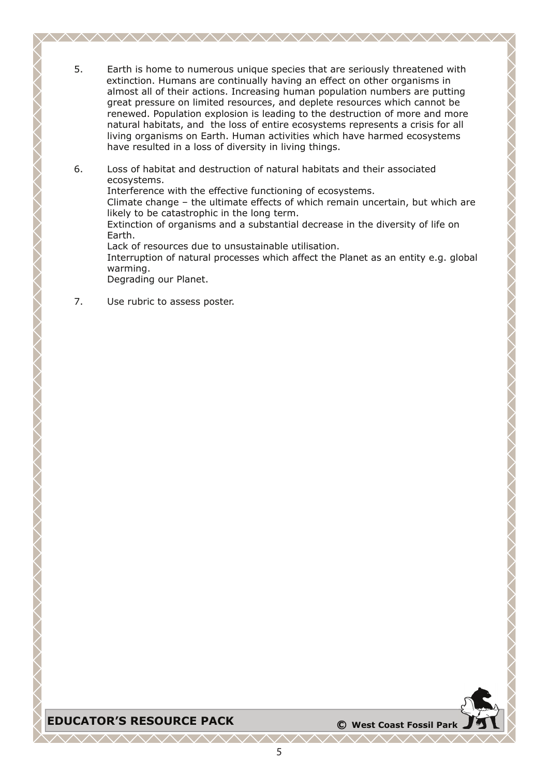5. Earth is home to numerous unique species that are seriously threatened with extinction. Humans are continually having an effect on other organisms in almost all of their actions. Increasing human population numbers are putting great pressure on limited resources, and deplete resources which cannot be renewed. Population explosion is leading to the destruction of more and more natural habitats, and the loss of entire ecosystems represents a crisis for all living organisms on Earth. Human activities which have harmed ecosystems have resulted in a loss of diversity in living things.

<u>AAAAAAAAAAAAAAAAAAAAAAAAAA</u>

- 6. Loss of habitat and destruction of natural habitats and their associated ecosystems. Interference with the effective functioning of ecosystems. Climate change – the ultimate effects of which remain uncertain, but which are likely to be catastrophic in the long term. Extinction of organisms and a substantial decrease in the diversity of life on Earth. Lack of resources due to unsustainable utilisation. Interruption of natural processes which affect the Planet as an entity e.g. global warming. Degrading our Planet.
- 7. Use rubric to assess poster.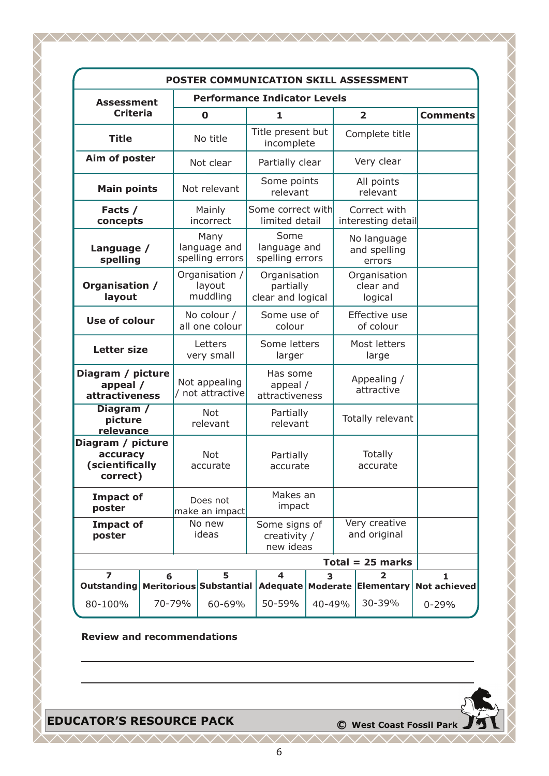| POSTER COMMUNICATION SKILL ASSESSMENT                        |                              |                                     |                                         |                                                |                                            |                                       |                               |                            |           |                    |
|--------------------------------------------------------------|------------------------------|-------------------------------------|-----------------------------------------|------------------------------------------------|--------------------------------------------|---------------------------------------|-------------------------------|----------------------------|-----------|--------------------|
| <b>Assessment</b><br><b>Criteria</b>                         |                              | <b>Performance Indicator Levels</b> |                                         |                                                |                                            |                                       |                               |                            |           |                    |
|                                                              |                              | $\mathbf 0$                         |                                         | 1                                              |                                            | $\overline{2}$                        |                               | <b>Comments</b>            |           |                    |
| <b>Title</b>                                                 |                              | No title                            |                                         | Title present but<br>incomplete                |                                            | Complete title                        |                               |                            |           |                    |
| Aim of poster                                                |                              |                                     | Not clear                               |                                                | Partially clear                            |                                       | Very clear                    |                            |           |                    |
| <b>Main points</b>                                           |                              |                                     | Not relevant                            |                                                | Some points<br>relevant                    |                                       |                               | All points<br>relevant     |           |                    |
| Facts /<br>concepts                                          |                              |                                     | Mainly<br>incorrect                     | Some correct with<br>limited detail            |                                            | Correct with<br>interesting detail    |                               |                            |           |                    |
| Language /<br>spelling                                       |                              |                                     | Many<br>language and<br>spelling errors | Some<br>language and<br>spelling errors        |                                            | No language<br>and spelling<br>errors |                               |                            |           |                    |
| Organisation /<br>layout                                     |                              |                                     | Organisation /<br>layout<br>muddling    | Organisation<br>partially<br>clear and logical |                                            | Organisation<br>clear and<br>logical  |                               |                            |           |                    |
| <b>Use of colour</b>                                         |                              | No colour /<br>all one colour       |                                         |                                                | Some use of<br>colour                      |                                       |                               | Effective use<br>of colour |           |                    |
| <b>Letter size</b>                                           |                              | Letters<br>very small               |                                         | Some letters<br>larger                         |                                            |                                       | Most letters<br>large         |                            |           |                    |
| Diagram / picture<br>appeal /<br><b>attractiveness</b>       |                              | Not appealing<br>not attractive     |                                         | Has some<br>appeal /<br>attractiveness         |                                            |                                       | Appealing /<br>attractive     |                            |           |                    |
| Diagram /<br>picture<br>relevance                            |                              | Not<br>relevant                     |                                         | Partially<br>relevant                          |                                            |                                       | Totally relevant              |                            |           |                    |
| Diagram / picture<br>accuracy<br>(scientifically<br>correct) |                              | Not<br>accurate                     |                                         |                                                | Partially<br>accurate                      |                                       | Totally<br>accurate           |                            |           |                    |
| <b>Impact of</b><br>poster                                   |                              | Does not<br>make an impact          |                                         | Makes an<br>impact                             |                                            |                                       |                               |                            |           |                    |
| <b>Impact of</b><br>poster                                   |                              | No new<br>ideas                     |                                         |                                                | Some signs of<br>creativity /<br>new ideas |                                       | Very creative<br>and original |                            |           |                    |
|                                                              |                              |                                     |                                         |                                                |                                            |                                       | $Total = 25 marks$            |                            |           |                    |
| $\overline{z}$<br><b>Outstanding</b>                         | 6<br>Meritorious Substantial |                                     | 5                                       |                                                | 4<br>3<br>Adequate                         |                                       |                               | 2<br>Moderate Elementary   |           | 1.<br>Not achieved |
| 80-100%                                                      | 70-79%                       |                                     | 60-69%                                  |                                                | 50-59%                                     | 40-49%                                |                               | 30-39%                     | $0 - 29%$ |                    |

<u>MMMMMMMMMMMMMMMM</u>

**Review and recommendations**

# **EDUCATOR'S RESOURCE PACK Canadian C C West Coast Fossil Park**

<u>MMMMMMMMMMMMMMM</u>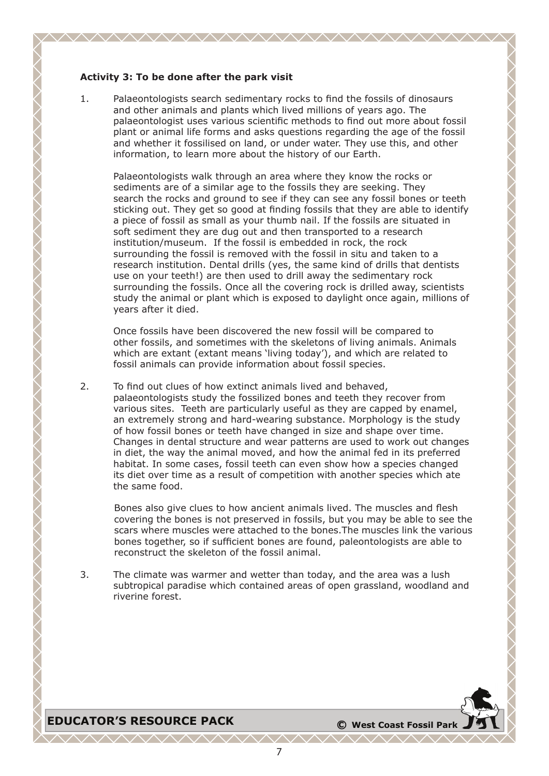### **Activity 3: To be done after the park visit**

1. Palaeontologists search sedimentary rocks to find the fossils of dinosaurs and other animals and plants which lived millions of years ago. The palaeontologist uses various scientific methods to find out more about fossil plant or animal life forms and asks questions regarding the age of the fossil and whether it fossilised on land, or under water. They use this, and other information, to learn more about the history of our Earth.

Palaeontologists walk through an area where they know the rocks or sediments are of a similar age to the fossils they are seeking. They search the rocks and ground to see if they can see any fossil bones or teeth sticking out. They get so good at finding fossils that they are able to identify a piece of fossil as small as your thumb nail. If the fossils are situated in soft sediment they are dug out and then transported to a research institution/museum. If the fossil is embedded in rock, the rock surrounding the fossil is removed with the fossil in situ and taken to a research institution. Dental drills (yes, the same kind of drills that dentists use on your teeth!) are then used to drill away the sedimentary rock surrounding the fossils. Once all the covering rock is drilled away, scientists study the animal or plant which is exposed to daylight once again, millions of years after it died.

Once fossils have been discovered the new fossil will be compared to other fossils, and sometimes with the skeletons of living animals. Animals which are extant (extant means 'living today'), and which are related to fossil animals can provide information about fossil species.

2. To find out clues of how extinct animals lived and behaved, palaeontologists study the fossilized bones and teeth they recover from various sites. Teeth are particularly useful as they are capped by enamel, an extremely strong and hard-wearing substance. Morphology is the study of how fossil bones or teeth have changed in size and shape over time. Changes in dental structure and wear patterns are used to work out changes in diet, the way the animal moved, and how the animal fed in its preferred habitat. In some cases, fossil teeth can even show how a species changed its diet over time as a result of competition with another species which ate the same food.

Bones also give clues to how ancient animals lived. The muscles and flesh covering the bones is not preserved in fossils, but you may be able to see the scars where muscles were attached to the bones.The muscles link the various bones together, so if sufficient bones are found, paleontologists are able to reconstruct the skeleton of the fossil animal.

3. The climate was warmer and wetter than today, and the area was a lush subtropical paradise which contained areas of open grassland, woodland and riverine forest.